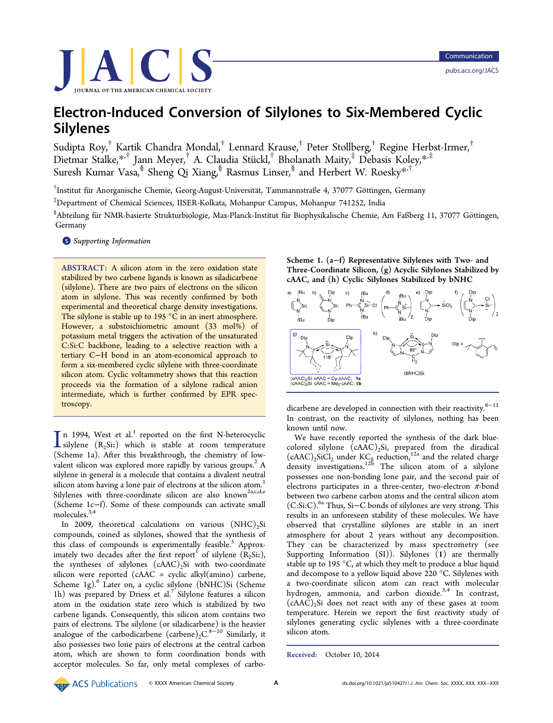

# Electron-Induced Conversion of Silylones to Six-Membered Cyclic Silylenes

Sudipta Roy,† Kartik Chandra Mondal,† Lennard Krause,† Peter Stollberg,† Regine Herbst-Irmer,† Dietmar Stalke,\*<sup>,†</sup> Jann Meyer,<sup>†</sup> A. Claudia Stückl,<sup>†</sup> Bholanath Maity,<sup>‡</sup> Debasis Koley,\*<sup>,‡</sup> Suresh Kumar Vasa,<sup>§</sup> Sheng Qi Xiang,<sup>§</sup> Rasmus Linser,<sup>§</sup> and Herbert W. Roesky<sup>\*,†</sup>

 $^\dagger$ Institut für Anorganische Chemie, Georg-August-Universität, Tammannstraße 4, 37077 Göttingen, Germany

‡Department of Chemical Sciences, IISER-Kolkata, Mohanpur Campus, Mohanpur 741252, India

 $^{\$}$ Abteilung für NMR-basierte Strukturbiologie, Max-Planck-Institut für Biophysikalische Chemie, Am Faßberg 11, 37077 Göttingen, Germany

**S** Supporting Information

ABSTRACT: A silicon atom in the zero oxidation state stabilized by two carbene ligands is known as siladicarbene (silylone). There are two pairs of electrons on the silicon atom in silylone. This was recently confirmed by both experimental and theoretical charge density investigations. The silylone is stable up to 195 °C in an inert atmosphere. However, a substoichiometric amount (33 mol%) of potassium metal triggers the activation of the unsaturated C:Si:C backbone, leading to a selective reaction with a tertiary C−H bond in an atom-economical approach to form a six-membered cyclic silylene with three-coordinate silicon atom. Cyclic voltammetry shows that this reaction proceeds via the formation of a silylone radical anion intermediate, which is further confirmed by EPR spectroscopy.

 $\prod_{\text{nil}}$  n 1994, West et al.<sup>1</sup> reported on the first N-heterocyclic silver (R<sub>2</sub>Si:) which is stable at room temperature silylene  $(R_2Si:)$  which is stable at room temperature (Scheme 1a). After this breakthrough, the chemistry of lowvalent silicon was explored more rapidly by various groups.<sup>2</sup> A silylene in general is a molecule that contains a divalent neutral silicon atom having a lone pair of electrons at the silicon atom.<sup>1</sup> Silylenes with three-coordinate silicon are also known<sup>2a,c,d,e</sup> (Scheme 1c−f). Some of these compounds can activate small molecules.3,4

In 2009, theoretical calculations on various  $(NHC)_2Si$ compounds, coined as silylones, showed that the synthesis of this class of compounds is experimentally feasible.<sup>5</sup> Approximately two decades after the first report of silylene  $(\hat{R}_2S\text{i:}),$ the syntheses of silylones  $(cAAC)_2Si$  with two-coordinate silicon were reported (cAAC = cyclic alkyl(amino) carbene, Scheme 1g).<sup>6</sup> Later on, a cyclic silylone (bNHC)Si (Scheme 1h) was prepared by Driess et al.<sup>7</sup> Silylone features a silicon atom in the oxidation state zero which is stabilized by two carbene ligands. Consequently, this silicon atom contains two pairs of electrons. The silylone (or siladicarbene) is the heavier analogue of the carbodicarbene (carbene)<sub>2</sub>C.<sup>8-10</sup> Similarly, it also possesses two lone pairs of electrons at the central carbon atom, which are shown to form coordination bonds with acceptor molecules. So far, only metal complexes of carboScheme 1. (a−f) Representative Silylenes with Two- and Three-Coordinate Silicon, (g) Acyclic Silylones Stabilized by cAAC, and (h) Cyclic Silylones Stabilized by bNHC



dicarbene are developed in connection with their reactivity.<sup>8−11</sup> In contrast, on the reactivity of silylones, nothing has been known until now.

We have recently reported the synthesis of the dark bluecolored silylone  $(cAAC)_2Si$ , prepared from the diradical  $(cAAC)_2$ SiCl<sub>2</sub> under KC<sub>8</sub> reduction,<sup>12a</sup> and the related charge density investigations.<sup>12b</sup> The silicon atom of a silylone possesses one non-bonding lone pair, and the second pair of electrons participates in a three-center, two-electron  $\pi$ -bond between two carbene carbon atoms and the central silicon atom (C:Si:C).6a Thus, Si−C bonds of silylones are very strong. This results in an unforeseen stability of these molecules. We have observed that crystalline silylones are stable in an inert atmosphere for about 2 years without any decomposition. They can be characterized by mass spectrometry (see Supporting Information (SI)). Silylones (1) are thermally stable up to 195 °C, at which they melt to produce a blue liquid and decompose to a yellow liquid above 220 °C. Silylenes with a two-coordinate silicon atom can react with molecular hydrogen, ammonia, and carbon dioxide. $3,4$  In contrast,  $(cAAC)_{2}Si$  does not react with any of these gases at room temperature. Herein we report the first reactivity study of silylones generating cyclic silylenes with a three-coordinate silicon atom.

Received: October 10, 2014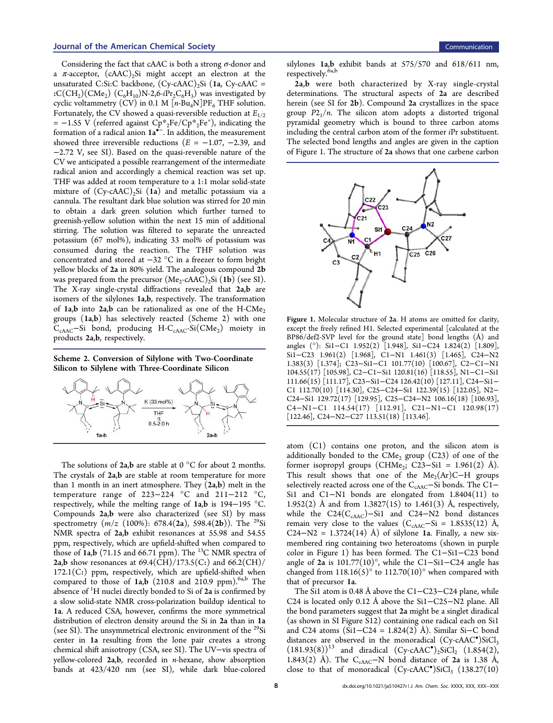## Journal of the American Chemical Society Communication Communication Communication

Considering the fact that cAAC is both a strong  $\sigma$ -donor and a  $\pi$ -acceptor, (cAAC)<sub>2</sub>Si might accept an electron at the unsaturated C:Si:C backbone,  $(Cy-cAAC)$ , Si  $(1a, Cy-cAAC)$ :C(CH<sub>2</sub>)(CMe<sub>2</sub>) (C<sub>6</sub>H<sub>10</sub>)N-2,6-*i*Pr<sub>2</sub>C<sub>6</sub>H<sub>3</sub>) was investigated by cyclic voltammetry (CV) in 0.1 M  $\lceil n-\text{Bu}_4N \rceil$ PF<sub>6</sub> THF solution. Fortunately, the CV showed a quasi-reversible reduction at *E*1/2 = -1.55 V (referred against  $\overrightarrow{Cp^*}_{2}Fe/Cp^*_{2}Fe^+$ ), indicating the formation of a radical anion 1a<sup>•−</sup>. In addition, the measurement showed three irreversible reductions  $(E = -1.07, -2.39,$  and −2.72 V, see SI). Based on the quasi-reversible nature of the CV we anticipated a possible rearrangement of the intermediate radical anion and accordingly a chemical reaction was set up. THF was added at room temperature to a 1:1 molar solid-state mixture of  $(Cy - cAAC)$ <sub>2</sub>Si (1a) and metallic potassium via a cannula. The resultant dark blue solution was stirred for 20 min to obtain a dark green solution which further turned to greenish-yellow solution within the next 15 min of additional stirring. The solution was filtered to separate the unreacted potassium (67 mol%), indicating 33 mol% of potassium was consumed during the reaction. The THF solution was concentrated and stored at −32 °C in a freezer to form bright yellow blocks of 2a in 80% yield. The analogous compound 2b was prepared from the precursor  $(Me_2$ -cAAC)<sub>2</sub>Si (1**b**) (see SI). The X-ray single-crystal diffractions revealed that 2a,b are isomers of the silylones 1a,b, respectively. The transformation of  $1a$ , b into  $2a$ , b can be rationalized as one of the H-CMe<sub>2</sub> groups (1a,b) has selectively reacted (Scheme 2) with one  $\widetilde{C}_{\mathrm{cAAC}}$ –Si bond, producing H- $C_{\mathrm{cAAC}}$ -Si $(\mathrm{CMe}_2)$  moiety in products 2a,b, respectively.

Scheme 2. Conversion of Silylone with Two-Coordinate Silicon to Silylene with Three-Coordinate Silicon



The solutions of  $2a,b$  are stable at  $0^{\circ}$ C for about 2 months. The crystals of 2a,b are stable at room temperature for more than 1 month in an inert atmosphere. They  $(2a,b)$  melt in the temperature range of 223−224 °C and 211−212 °C, respectively, while the melting range of 1a,b is 194−195 °C. Compounds 2a,b were also characterized (see SI) by mass spectrometry (*m*/*z* (100%): 678.4(2a), 598.4(2b)). The <sup>29</sup>Si NMR spectra of 2a,b exhibit resonances at 55.98 and 54.55 ppm, respectively, which are upfield-shifted when compared to those of  $1a,b$  (71.15 and 66.71 ppm). The <sup>13</sup>C NMR spectra of **2a,b** show resonances at  $69.4(\overline{CH})/173.5(C.)$  and  $66.2(CH)/$  $172.1(C:)$  ppm, respectively, which are upfield-shifted when compared to those of  $1a,b$  (210.8 and 210.9 ppm).<sup>6a,b</sup> The absence of  $H$  nuclei directly bonded to Si of 2a is confirmed by a slow solid-state NMR cross-polarization buildup identical to 1a. A reduced CSA, however, confirms the more symmetrical distribution of electron density around the Si in 2a than in 1a (see SI). The unsymmetrical electronic environment of the <sup>29</sup>Si center in 1a resulting from the lone pair creates a strong chemical shift anisotropy (CSA, see SI). The UV−vis spectra of yellow-colored 2a,b, recorded in *n*-hexane, show absorption bands at 423/420 nm (see SI), while dark blue-colored

silylones 1a,b exhibit bands at 575/570 and 618/611 nm, respectively.  $\overset{\text{\rm{6a,b}}}{ }$ 

2a,b were both characterized by X-ray single-crystal determinations. The structural aspects of 2a are described herein (see SI for 2b). Compound 2a crystallizes in the space group  $P2_1/n$ . The silicon atom adopts a distorted trigonal pyramidal geometry which is bound to three carbon atoms including the central carbon atom of the former *i*Pr substituent. The selected bond lengths and angles are given in the caption of Figure 1. The structure of 2a shows that one carbene carbon



Figure 1. Molecular structure of 2a. H atoms are omitted for clarity, except the freely refined H1. Selected experimental [calculated at the BP86/def2-SVP level for the ground state] bond lengths (Å) and angles (°): Si1−C1 1.952(2) [1.948], Si1−C24 1.824(2) [1.809], Si1−C23 1.961(2) [1.968], C1−N1 1.461(3) [1.465], C24−N2 1.383(3) [1.374]; C23−Si1−C1 101.77(10) [100.67], C2−C1−N1 104.55(17) [105.98], C2−C1−Si1 120.81(16) [118.55], N1−C1−Si1 111.66(15) [111.17], C23−Si1−C24 126.42(10) [127.11], C24−Si1− C1 112.70(10) [114.30], C25−C24−Si1 122.39(15) [122.05], N2− C24−Si1 129.72(17) [129.95], C25−C24−N2 106.16(18) [106.93], C4−N1−C1 114.54(17) [112.91], C21−N1−C1 120.98(17) [122.46], C24−N2−C27 113.51(18) [113.46].

atom (C1) contains one proton, and the silicon atom is additionally bonded to the  $CMe<sub>2</sub>$  group (C23) of one of the former isopropyl groups (CHMe<sub>2</sub>; C23-Si1 = 1.961(2) Å). This result shows that one of the  $Me<sub>2</sub>(Ar)C-H$  groups selectively reacted across one of the C<sub>cAAC</sub>-Si bonds. The C1− Si1 and C1−N1 bonds are elongated from 1.8404(11) to 1.952(2) Å and from 1.3827(15) to 1.461(3) Å, respectively, while the C24(C<sub>cAAC</sub>)–Si1 and C24–N2 bond distances remain very close to the values ( $C_{cAAC}$ -Si = 1.8535(12) Å, C24−N2 = 1.3724(14) Å) of silylone 1a. Finally, a new sixmembered ring containing two heteroatoms (shown in purple color in Figure 1) has been formed. The C1−Si1−C23 bond angle of 2a is 101.77(10)°, while the C1−Si1−C24 angle has changed from  $118.16(5)°$  to  $112.70(10)°$  when compared with that of precursor 1a.

The Si1 atom is 0.48 Å above the C1−C23−C24 plane, while C24 is located only 0.12 Å above the Si1−C25−N2 plane. All the bond parameters suggest that 2a might be a singlet diradical (as shown in SI Figure S12) containing one radical each on Si1 and C24 atoms (Si1−C24 = 1.824(2) Å). Similar Si−C bond distances are observed in the monoradical  $(Cy - cAAC^*)SiCl_3$  $(181.93(8))^{13}$  and diradical  $(Cy-cAAC^{\bullet})_{2}SiCl_{2}$   $(1.854(2))$ 1.843(2) Å). The C<sub>cAAC</sub>-N bond distance of 2a is 1.38 Å, close to that of monoradical (Cy-cAAC<sup>\*</sup>)SiCl<sub>3</sub> (138.27(10)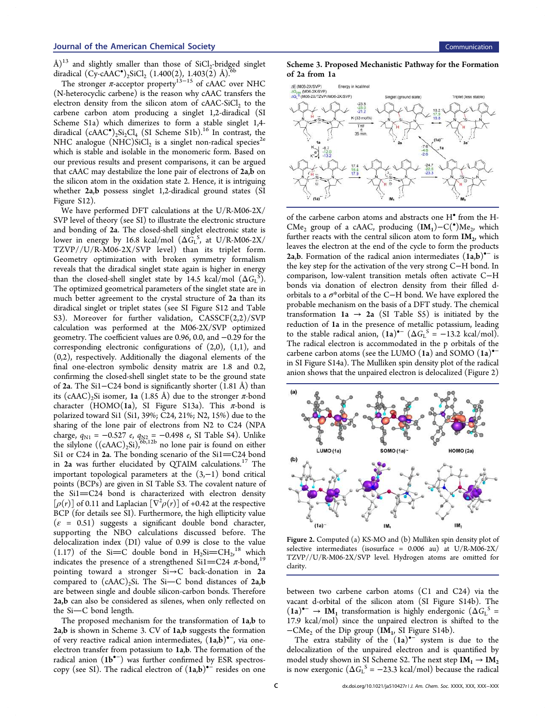Å)<sup>13</sup> and slightly smaller than those of SiCl<sub>2</sub>-bridged singlet diradical  $(Cy - cAAC^{\bullet})_{2}$ SiCl<sub>2</sub> (1.400(2), 1.403(2) Å).<sup>6b</sup>

The stronger  $\pi$ -acceptor property<sup>13–15</sup> of cAAC over NHC (N-heterocyclic carbene) is the reason why cAAC transfers the electron density from the silicon atom of  $c$ AAC-SiCl<sub>2</sub> to the carbene carbon atom producing a singlet 1,2-diradical (SI Scheme S1a) which dimerizes to form a stable singlet 1,4 diradical  $(cAAC^{\bullet})_{2}Si_{2}Cl_{4}$  (SI Scheme S1b).<sup>16</sup> In contrast, the NHC analogue  $(NHC)SiCl<sub>2</sub>$  is a singlet non-radical species<sup>2e</sup> which is stable and isolable in the monomeric form. Based on our previous results and present comparisons, it can be argued that cAAC may destabilize the lone pair of electrons of  $2a$ ,  $\overline{b}$  on the silicon atom in the oxidation state 2. Hence, it is intriguing whether 2a,b possess singlet 1,2-diradical ground states (SI Figure S12).

We have performed DFT calculations at the U/R-M06-2X/ SVP level of theory (see SI) to illustrate the electronic structure and bonding of 2a. The closed-shell singlet electronic state is lower in energy by 16.8 kcal/mol  $(\Delta \tilde{G}_L^S)$ , at U/R-M06-2X/ TZVP//U/R‑M06‑2X/SVP level) than its triplet form. Geometry optimization with broken symmetry formalism reveals that the diradical singlet state again is higher in energy than the closed-shell singlet state by 14.5 kcal/mol  $(\Delta G_L^S)$ . The optimized geometrical parameters of the singlet state are in much better agreement to the crystal structure of 2a than its diradical singlet or triplet states (see SI Figure S12 and Table S3). Moreover for further validation, CASSCF(2,2)/SVP calculation was performed at the M06-2X/SVP optimized geometry. The coefficient values are 0.96, 0.0, and −0.29 for the corresponding electronic configurations of (2,0), (1,1), and (0,2), respectively. Additionally the diagonal elements of the final one-electron symbolic density matrix are 1.8 and 0.2, confirming the closed-shell singlet state to be the ground state of 2a. The Si1−C24 bond is significantly shorter (1.81 Å) than its (cAAC)<sub>2</sub>Si isomer, 1a (1.85 Å) due to the stronger  $\pi$ -bond character (HOMO(1a), SI Figure S13a). This  $\pi$ -bond is polarized toward Si1 (Si1, 39%; C24, 21%; N2, 15%) due to the sharing of the lone pair of electrons from N2 to C24 (NPA charge, *q*<sub>N1</sub> = −0.527 *e*, *q*<sub>N2</sub> = −0.498 *e*, SI Table S4). Unlike the silylone  $((cAAC)_2Si)^{66,12b}$  no lone pair is found on either Si1 or C24 in  $2a$ . The bonding scenario of the Si1=C24 bond in  $2a$  was further elucidated by QTAIM calculations.<sup>17</sup> The important topological parameters at the (3,−1) bond critical points (BCPs) are given in SI Table S3. The covalent nature of the  $Si1=C24$  bond is characterized with electron density  $[\rho(r)]$  of 0.11 and Laplacian  $[\nabla^2 \rho(r)]$  of +0.42 at the respective BCP (for details see SI). Furthermore, the high ellipticity value  $(\varepsilon = 0.51)$  suggests a significant double bond character, supporting the NBO calculations discussed before. The delocalization index (DI) value of 0.99 is close to the value (1.17) of the Si=C double bond in  $H_2Si=CH_2^{18}$  which , indicates the presence of a strengthened Si1=C24  $\pi$ -bond,<sup>19</sup> pointing toward a stronger Si→C back-donation in 2a compared to  $(cAAC)_2$ Si. The Si-C bond distances of 2a,b are between single and double silicon-carbon bonds. Therefore 2a,b can also be considered as silenes, when only reflected on the  $Si-C$  bond length.

The proposed mechanism for the transformation of 1a,b to 2a,b is shown in Scheme 3. CV of 1a,b suggests the formation of very reactive radical anion intermediates, (1a,b)<sup>•–</sup>, via oneelectron transfer from potassium to 1a,b. The formation of the radical anion (1b•<sup>−</sup> ) was further confirmed by ESR spectroscopy (see SI). The radical electron of  $(1a,b)^{-1}$  resides on one

Scheme 3. Proposed Mechanistic Pathway for the Formation of 2a from 1a



of the carbene carbon atoms and abstracts one H• from the H-CMe<sub>2</sub> group of a cAAC, producing  $(IM<sub>1</sub>)-C(^{\bullet})Me<sub>2</sub>$ , which further reacts with the central silicon atom to form  $IM_2$ , which leaves the electron at the end of the cycle to form the products 2a,b. Formation of the radical anion intermediates  $(\hat{1a}, b)^{-1}$  is the key step for the activation of the very strong C−H bond. In comparison, low-valent transition metals often activate C−H bonds via donation of electron density from their filled dorbitals to a σ\*orbital of the C−H bond. We have explored the probable mechanism on the basis of a DFT study. The chemical transformation 1a  $\rightarrow$  2a (SI Table S5) is initiated by the reduction of 1a in the presence of metallic potassium, leading to the stable radical anion,  $(1a)^{\bullet-}$   $(\Delta G_L^S = -13.2 \text{ kcal/mol})$ . The radical electron is accommodated in the p orbitals of the carbene carbon atoms (see the LUMO (1a) and SOMO (1a)<sup>•−</sup> in SI Figure S14a). The Mulliken spin density plot of the radical anion shows that the unpaired electron is delocalized (Figure 2)



Figure 2. Computed (a) KS-MO and (b) Mulliken spin density plot of selective intermediates (isosurface = 0.006 au) at U/R-M06-2X/ TZVP//U/R-M06-2X/SVP level. Hydrogen atoms are omitted for clarity.

between two carbene carbon atoms (C1 and C24) via the vacant d-orbital of the silicon atom (SI Figure S14b). The  $(1a)^{\bullet-} \rightarrow IM_1$  transformation is highly endergonic  $(\Delta G_L^S =$ 17.9 kcal/mol) since the unpaired electron is shifted to the  $-CMe<sub>2</sub>$  of the Dip group (IM<sub>1</sub>, SI Figure S14b).

The extra stability of the  $(1a)$ <sup>-</sup> system is due to the delocalization of the unpaired electron and is quantified by model study shown in SI Scheme S2. The next step  $IM_1 \rightarrow IM_2$ is now exergonic  $(\Delta G_{\rm L}^{\rm S} = -23.3 \text{ kcal/mol})$  because the radical